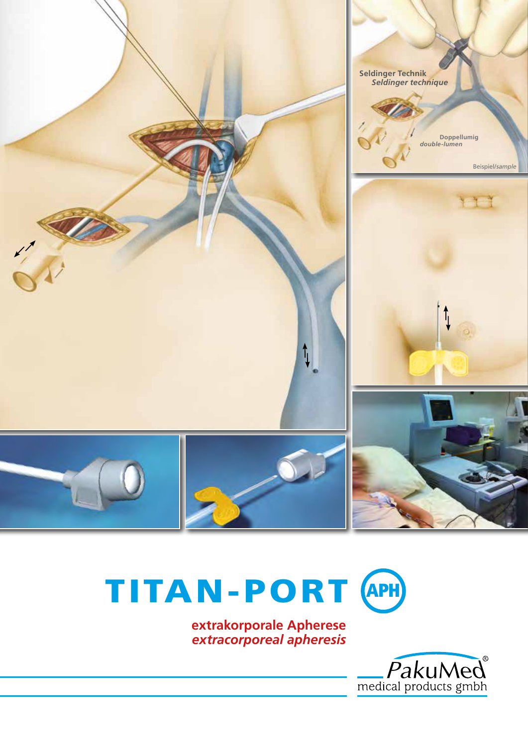

# TITAN-PORT APH

 **extrakorporale Apherese** *extracorporeal apheresis*